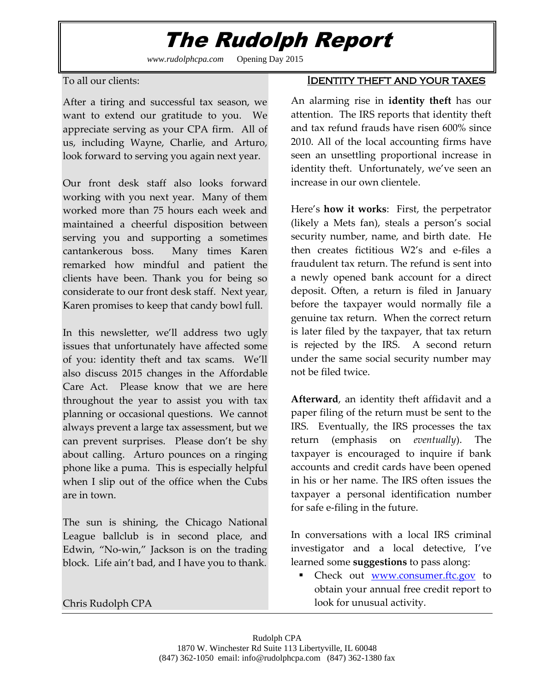## The Rudolph Report

*www.rudolphcpa.com* Opening Day 2015

To all our clients:

After a tiring and successful tax season, we want to extend our gratitude to you. We appreciate serving as your CPA firm. All of us, including Wayne, Charlie, and Arturo, look forward to serving you again next year.

Our front desk staff also looks forward working with you next year. Many of them worked more than 75 hours each week and maintained a cheerful disposition between serving you and supporting a sometimes cantankerous boss. Many times Karen remarked how mindful and patient the clients have been. Thank you for being so considerate to our front desk staff. Next year, Karen promises to keep that candy bowl full.

In this newsletter, we'll address two ugly issues that unfortunately have affected some of you: identity theft and tax scams. We'll also discuss 2015 changes in the Affordable Care Act. Please know that we are here throughout the year to assist you with tax planning or occasional questions. We cannot always prevent a large tax assessment, but we can prevent surprises. Please don't be shy about calling. Arturo pounces on a ringing phone like a puma. This is especially helpful when I slip out of the office when the Cubs are in town.

The sun is shining, the Chicago National League ballclub is in second place, and Edwin, "No-win," Jackson is on the trading block. Life ain't bad, and I have you to thank.

### Chris Rudolph CPA

### Identity theft and your taxes

An alarming rise in **identity theft** has our attention. The IRS reports that identity theft and tax refund frauds have risen 600% since 2010. All of the local accounting firms have seen an unsettling proportional increase in identity theft. Unfortunately, we've seen an increase in our own clientele.

Here's **how it works**: First, the perpetrator (likely a Mets fan), steals a person's social security number, name, and birth date. He then creates fictitious W2's and e-files a fraudulent tax return. The refund is sent into a newly opened bank account for a direct deposit. Often, a return is filed in January before the taxpayer would normally file a genuine tax return. When the correct return is later filed by the taxpayer, that tax return is rejected by the IRS. A second return under the same social security number may not be filed twice.

**Afterward**, an identity theft affidavit and a paper filing of the return must be sent to the IRS. Eventually, the IRS processes the tax return (emphasis on *eventually*). The taxpayer is encouraged to inquire if bank accounts and credit cards have been opened in his or her name. The IRS often issues the taxpayer a personal identification number for safe e-filing in the future.

In conversations with a local IRS criminal investigator and a local detective, I've learned some **suggestions** to pass along:

• Check out [www.consumer.ftc.gov](http://www.consumer.ftc.gov/) to obtain your annual free credit report to look for unusual activity.